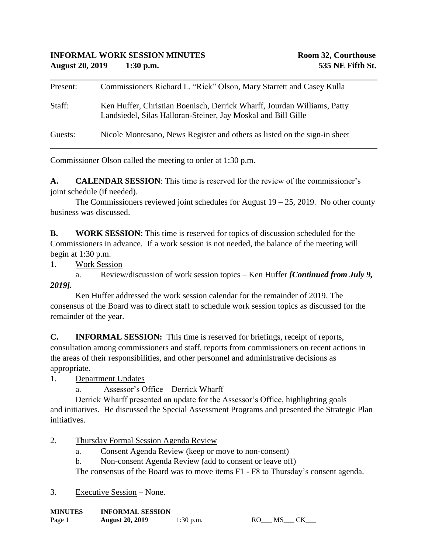| Present: | Commissioners Richard L. "Rick" Olson, Mary Starrett and Casey Kulla                                                                     |
|----------|------------------------------------------------------------------------------------------------------------------------------------------|
| Staff:   | Ken Huffer, Christian Boenisch, Derrick Wharff, Jourdan Williams, Patty<br>Landsiedel, Silas Halloran-Steiner, Jay Moskal and Bill Gille |
| Guests:  | Nicole Montesano, News Register and others as listed on the sign-in sheet                                                                |

Commissioner Olson called the meeting to order at 1:30 p.m.

**A. CALENDAR SESSION**: This time is reserved for the review of the commissioner's joint schedule (if needed).

The Commissioners reviewed joint schedules for August  $19 - 25$ , 2019. No other county business was discussed.

**B. WORK SESSION**: This time is reserved for topics of discussion scheduled for the Commissioners in advance. If a work session is not needed, the balance of the meeting will begin at 1:30 p.m.

1. Work Session –

a. Review/discussion of work session topics – Ken Huffer *[Continued from July 9, 2019].*

Ken Huffer addressed the work session calendar for the remainder of 2019. The consensus of the Board was to direct staff to schedule work session topics as discussed for the remainder of the year.

**C. INFORMAL SESSION:** This time is reserved for briefings, receipt of reports, consultation among commissioners and staff, reports from commissioners on recent actions in the areas of their responsibilities, and other personnel and administrative decisions as appropriate.

1. Department Updates

a. Assessor's Office – Derrick Wharff

Derrick Wharff presented an update for the Assessor's Office, highlighting goals and initiatives. He discussed the Special Assessment Programs and presented the Strategic Plan initiatives.

- 2. Thursday Formal Session Agenda Review
	- a. Consent Agenda Review (keep or move to non-consent)
	- b. Non-consent Agenda Review (add to consent or leave off)

The consensus of the Board was to move items F1 - F8 to Thursday's consent agenda.

3. Executive Session – None.

**MINUTES INFORMAL SESSION**

| ************* | <b>EN LE OTALISTE DE DOUTOIR</b> |           |           |  |
|---------------|----------------------------------|-----------|-----------|--|
| Page 1        | <b>August 20, 2019</b>           | 1:30 p.m. | <b>MS</b> |  |